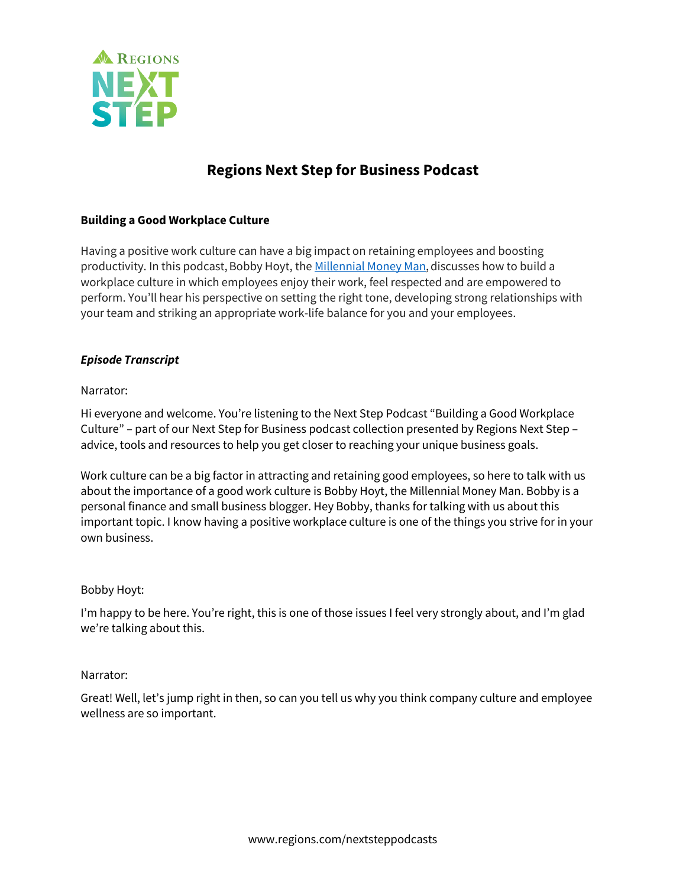

# **Regions Next Step for Business Podcast**

# **Building a Good Workplace Culture**

Having a positive work culture can have a big impact on retaining employees and boosting productivity. In this podcast, Bobby Hoyt, the [Millennial Money Man](https://millennialmoneyman.com/), discusses how to build a workplace culture in which employees enjoy their work, feel respected and are empowered to perform. You'll hear his perspective on setting the right tone, developing strong relationships with your team and striking an appropriate work-life balance for you and your employees.

#### *Episode Transcript*

#### Narrator:

Hi everyone and welcome. You're listening to the Next Step Podcast "Building a Good Workplace Culture" – part of our Next Step for Business podcast collection presented by Regions Next Step – advice, tools and resources to help you get closer to reaching your unique business goals.

Work culture can be a big factor in attracting and retaining good employees, so here to talk with us about the importance of a good work culture is Bobby Hoyt, the Millennial Money Man. Bobby is a personal finance and small business blogger. Hey Bobby, thanks for talking with us about this important topic. I know having a positive workplace culture is one of the things you strive for in your own business.

#### Bobby Hoyt:

I'm happy to be here. You're right, this is one of those issues I feel very strongly about, and I'm glad we're talking about this.

#### Narrator:

Great! Well, let's jump right in then, so can you tell us why you think company culture and employee wellness are so important.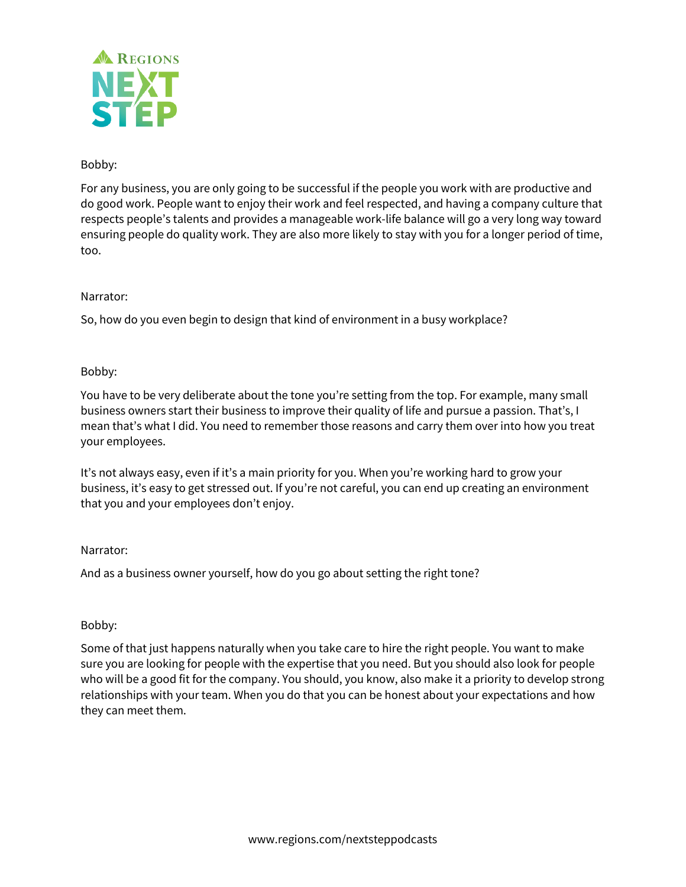

# Bobby:

For any business, you are only going to be successful if the people you work with are productive and do good work. People want to enjoy their work and feel respected, and having a company culture that respects people's talents and provides a manageable work-life balance will go a very long way toward ensuring people do quality work. They are also more likely to stay with you for a longer period of time, too.

# Narrator:

So, how do you even begin to design that kind of environment in a busy workplace?

# Bobby:

You have to be very deliberate about the tone you're setting from the top. For example, many small business owners start their business to improve their quality of life and pursue a passion. That's, I mean that's what I did. You need to remember those reasons and carry them over into how you treat your employees.

It's not always easy, even if it's a main priority for you. When you're working hard to grow your business, it's easy to get stressed out. If you're not careful, you can end up creating an environment that you and your employees don't enjoy.

# Narrator:

And as a business owner yourself, how do you go about setting the right tone?

# Bobby:

Some of that just happens naturally when you take care to hire the right people. You want to make sure you are looking for people with the expertise that you need. But you should also look for people who will be a good fit for the company. You should, you know, also make it a priority to develop strong relationships with your team. When you do that you can be honest about your expectations and how they can meet them.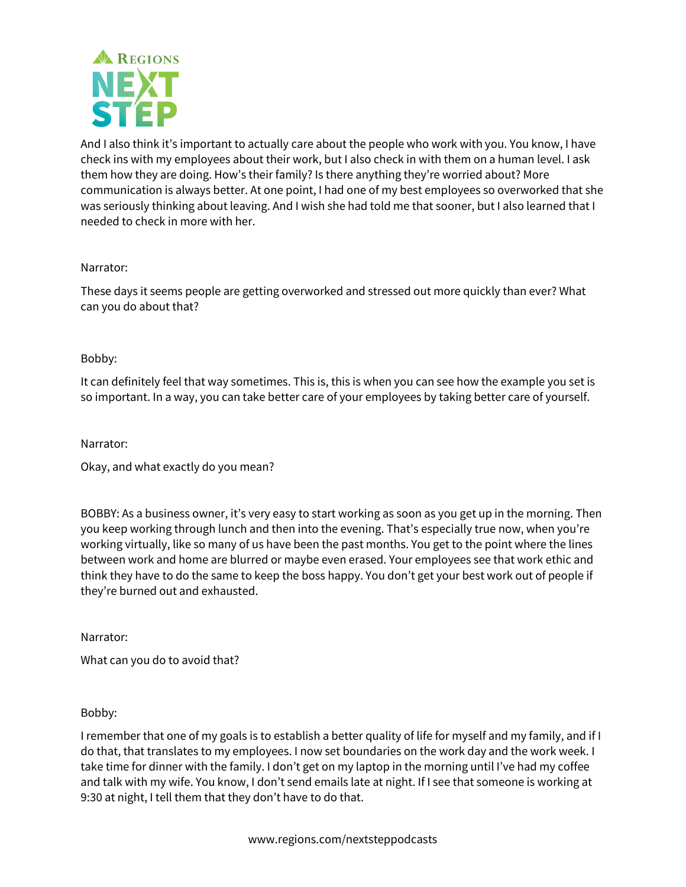

And I also think it's important to actually care about the people who work with you. You know, I have check ins with my employees about their work, but I also check in with them on a human level. I ask them how they are doing. How's their family? Is there anything they're worried about? More communication is always better. At one point, I had one of my best employees so overworked that she was seriously thinking about leaving. And I wish she had told me that sooner, but I also learned that I needed to check in more with her.

## Narrator:

These days it seems people are getting overworked and stressed out more quickly than ever? What can you do about that?

## Bobby:

It can definitely feel that way sometimes. This is, this is when you can see how the example you set is so important. In a way, you can take better care of your employees by taking better care of yourself.

Narrator:

Okay, and what exactly do you mean?

BOBBY: As a business owner, it's very easy to start working as soon as you get up in the morning. Then you keep working through lunch and then into the evening. That's especially true now, when you're working virtually, like so many of us have been the past months. You get to the point where the lines between work and home are blurred or maybe even erased. Your employees see that work ethic and think they have to do the same to keep the boss happy. You don't get your best work out of people if they're burned out and exhausted.

Narrator:

What can you do to avoid that?

Bobby:

I remember that one of my goals is to establish a better quality of life for myself and my family, and if I do that, that translates to my employees. I now set boundaries on the work day and the work week. I take time for dinner with the family. I don't get on my laptop in the morning until I've had my coffee and talk with my wife. You know, I don't send emails late at night. If I see that someone is working at 9:30 at night, I tell them that they don't have to do that.